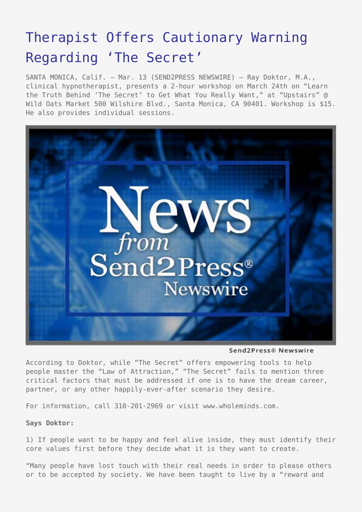## [Therapist Offers Cautionary Warning](https://www.send2press.com/wire/2007-0313-004_doktor/) [Regarding 'The Secret'](https://www.send2press.com/wire/2007-0313-004_doktor/)

SANTA MONICA, Calif. – Mar. 13 (SEND2PRESS NEWSWIRE) — Ray Doktor, M.A., clinical hypnotherapist, presents a 2-hour workshop on March 24th on "Learn the Truth Behind 'The Secret' to Get What You Really Want," at "Upstairs" @ Wild Oats Market 500 Wilshire Blvd., Santa Monica, CA 90401. Workshop is \$15. He also provides individual sessions.



Send2Press® Newswire

According to Doktor, while "The Secret" offers empowering tools to help people master the "Law of Attraction," "The Secret" fails to mention three critical factors that must be addressed if one is to have the dream career, partner, or any other happily-ever-after scenario they desire.

For information, call 310-201-2969 or visit www.wholeminds.com.

**Says Doktor:**

1) If people want to be happy and feel alive inside, they must identify their core values first before they decide what it is they want to create.

"Many people have lost touch with their real needs in order to please others or to be accepted by society. We have been taught to live by a "reward and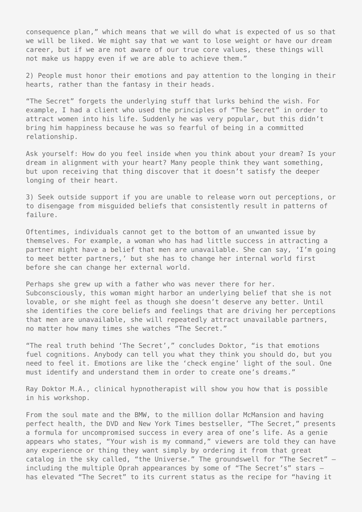consequence plan," which means that we will do what is expected of us so that we will be liked. We might say that we want to lose weight or have our dream career, but if we are not aware of our true core values, these things will not make us happy even if we are able to achieve them."

2) People must honor their emotions and pay attention to the longing in their hearts, rather than the fantasy in their heads.

"The Secret" forgets the underlying stuff that lurks behind the wish. For example, I had a client who used the principles of "The Secret" in order to attract women into his life. Suddenly he was very popular, but this didn't bring him happiness because he was so fearful of being in a committed relationship.

Ask yourself: How do you feel inside when you think about your dream? Is your dream in alignment with your heart? Many people think they want something, but upon receiving that thing discover that it doesn't satisfy the deeper longing of their heart.

3) Seek outside support if you are unable to release worn out perceptions, or to disengage from misguided beliefs that consistently result in patterns of failure.

Oftentimes, individuals cannot get to the bottom of an unwanted issue by themselves. For example, a woman who has had little success in attracting a partner might have a belief that men are unavailable. She can say, 'I'm going to meet better partners,' but she has to change her internal world first before she can change her external world.

Perhaps she grew up with a father who was never there for her. Subconsciously, this woman might harbor an underlying belief that she is not lovable, or she might feel as though she doesn't deserve any better. Until she identifies the core beliefs and feelings that are driving her perceptions that men are unavailable, she will repeatedly attract unavailable partners, no matter how many times she watches "The Secret."

"The real truth behind 'The Secret'," concludes Doktor, "is that emotions fuel cognitions. Anybody can tell you what they think you should do, but you need to feel it. Emotions are like the 'check engine' light of the soul. One must identify and understand them in order to create one's dreams."

Ray Doktor M.A., clinical hypnotherapist will show you how that is possible in his workshop.

From the soul mate and the BMW, to the million dollar McMansion and having perfect health, the DVD and New York Times bestseller, "The Secret," presents a formula for uncompromised success in every area of one's life. As a genie appears who states, "Your wish is my command," viewers are told they can have any experience or thing they want simply by ordering it from that great catalog in the sky called, "the Universe." The groundswell for "The Secret" – including the multiple Oprah appearances by some of "The Secret's" stars – has elevated "The Secret" to its current status as the recipe for "having it